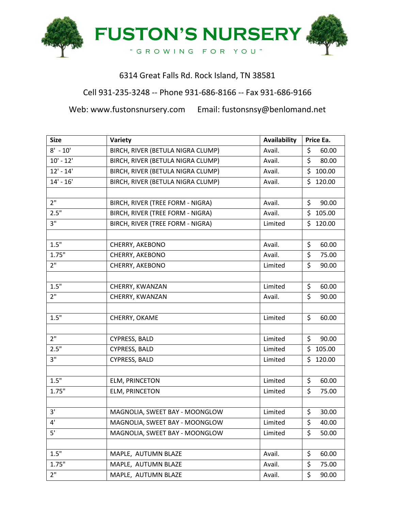

## 6314 Great Falls Rd. Rock Island, TN 38581

## Cell 931-235-3248 -- Phone 931-686-8166 -- Fax 931-686-9166

Web: www.fustonsnursery.com Email: fustonsnsy@benlomand.net

| <b>Size</b>                         | Variety                           | <b>Availability</b> | Price Ea.    |
|-------------------------------------|-----------------------------------|---------------------|--------------|
| $8' - 10'$                          | BIRCH, RIVER (BETULA NIGRA CLUMP) | Avail.              | \$<br>60.00  |
| $10' - 12'$                         | BIRCH, RIVER (BETULA NIGRA CLUMP) | Avail.              | \$<br>80.00  |
| $12' - 14'$                         | BIRCH, RIVER (BETULA NIGRA CLUMP) | Avail.              | \$<br>100.00 |
| $14' - 16'$                         | BIRCH, RIVER (BETULA NIGRA CLUMP) | Avail.              | \$<br>120.00 |
|                                     |                                   |                     |              |
| 2 <sup>11</sup>                     | BIRCH, RIVER (TREE FORM - NIGRA)  | Avail.              | \$<br>90.00  |
| 2.5"                                | BIRCH, RIVER (TREE FORM - NIGRA)  | Avail.              | \$<br>105.00 |
| 3"                                  | BIRCH, RIVER (TREE FORM - NIGRA)  | Limited             | \$<br>120.00 |
|                                     |                                   |                     |              |
| 1.5"                                | CHERRY, AKEBONO                   | Avail.              | \$<br>60.00  |
| 1.75"                               | CHERRY, AKEBONO                   | Avail.              | \$<br>75.00  |
| 2 <sup>11</sup>                     | CHERRY, AKEBONO                   | Limited             | \$<br>90.00  |
|                                     |                                   |                     |              |
| 1.5"                                | CHERRY, KWANZAN                   | Limited             | \$<br>60.00  |
| 2 <sup>11</sup>                     | CHERRY, KWANZAN                   | Avail.              | \$<br>90.00  |
|                                     |                                   |                     |              |
| 1.5"                                | CHERRY, OKAME                     | Limited             | \$<br>60.00  |
|                                     |                                   |                     |              |
| 2 <sup>11</sup>                     | <b>CYPRESS, BALD</b>              | Limited             | \$<br>90.00  |
| 2.5"                                | <b>CYPRESS, BALD</b>              | Limited             | \$<br>105.00 |
| 3"                                  | <b>CYPRESS, BALD</b>              | Limited             | \$<br>120.00 |
|                                     |                                   |                     |              |
| 1.5"                                | ELM, PRINCETON                    | Limited             | \$<br>60.00  |
| 1.75"                               | ELM, PRINCETON                    | Limited             | \$<br>75.00  |
|                                     |                                   |                     |              |
| 3'                                  | MAGNOLIA, SWEET BAY - MOONGLOW    | Limited             | \$<br>30.00  |
| $4^{\scriptscriptstyle \textsf{I}}$ | MAGNOLIA, SWEET BAY - MOONGLOW    | Limited             | \$<br>40.00  |
| 5 <sup>1</sup>                      | MAGNOLIA, SWEET BAY - MOONGLOW    | Limited             | \$<br>50.00  |
|                                     |                                   |                     |              |
| 1.5"                                | MAPLE, AUTUMN BLAZE               | Avail.              | \$<br>60.00  |
| 1.75"                               | MAPLE, AUTUMN BLAZE               | Avail.              | \$<br>75.00  |
| 2"                                  | MAPLE, AUTUMN BLAZE               | Avail.              | \$<br>90.00  |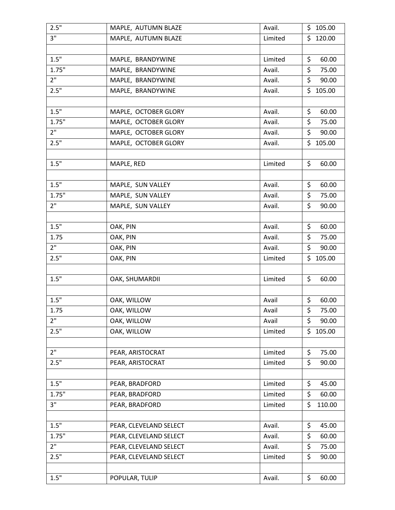| 2.5"            | MAPLE, AUTUMN BLAZE    | Avail.  | \$105.00     |
|-----------------|------------------------|---------|--------------|
| $3^{\circ}$     | MAPLE, AUTUMN BLAZE    | Limited | \$<br>120.00 |
|                 |                        |         |              |
| 1.5"            | MAPLE, BRANDYWINE      | Limited | \$<br>60.00  |
| 1.75"           | MAPLE, BRANDYWINE      | Avail.  | \$<br>75.00  |
| 2 <sup>11</sup> | MAPLE, BRANDYWINE      | Avail.  | \$<br>90.00  |
| 2.5"            | MAPLE, BRANDYWINE      | Avail.  | \$105.00     |
|                 |                        |         |              |
| 1.5"            | MAPLE, OCTOBER GLORY   | Avail.  | \$<br>60.00  |
| 1.75"           | MAPLE, OCTOBER GLORY   | Avail.  | \$<br>75.00  |
| 2"              | MAPLE, OCTOBER GLORY   | Avail.  | \$<br>90.00  |
| 2.5"            | MAPLE, OCTOBER GLORY   | Avail.  | \$105.00     |
|                 |                        |         |              |
| 1.5"            | MAPLE, RED             | Limited | \$<br>60.00  |
|                 |                        |         |              |
| 1.5"            | MAPLE, SUN VALLEY      | Avail.  | \$<br>60.00  |
| 1.75"           | MAPLE, SUN VALLEY      | Avail.  | \$<br>75.00  |
| 2"              | MAPLE, SUN VALLEY      | Avail.  | \$<br>90.00  |
|                 |                        |         |              |
| 1.5"            | OAK, PIN               | Avail.  | \$<br>60.00  |
| 1.75            | OAK, PIN               | Avail.  | \$<br>75.00  |
| 2 <sup>11</sup> | OAK, PIN               | Avail.  | \$<br>90.00  |
| 2.5"            | OAK, PIN               | Limited | \$<br>105.00 |
|                 |                        |         |              |
| 1.5"            | OAK, SHUMARDII         | Limited | \$<br>60.00  |
|                 |                        |         |              |
| 1.5"            | OAK, WILLOW            | Avail   | \$<br>60.00  |
| 1.75            | OAK, WILLOW            | Avail   | \$<br>75.00  |
| 2"              | OAK, WILLOW            | Avail   | \$<br>90.00  |
| 2.5"            | OAK, WILLOW            | Limited | \$105.00     |
|                 |                        |         |              |
| 2 <sup>''</sup> | PEAR, ARISTOCRAT       | Limited | \$<br>75.00  |
| 2.5"            | PEAR, ARISTOCRAT       | Limited | \$<br>90.00  |
|                 |                        |         |              |
| 1.5"            | PEAR, BRADFORD         | Limited | \$<br>45.00  |
| 1.75"           | PEAR, BRADFORD         | Limited | \$<br>60.00  |
| 3"              | PEAR, BRADFORD         | Limited | \$<br>110.00 |
|                 |                        |         |              |
| 1.5"            | PEAR, CLEVELAND SELECT | Avail.  | \$<br>45.00  |
| 1.75"           | PEAR, CLEVELAND SELECT | Avail.  | \$<br>60.00  |
| 2 <sup>11</sup> | PEAR, CLEVELAND SELECT | Avail.  | \$<br>75.00  |
| 2.5"            | PEAR, CLEVELAND SELECT | Limited | \$<br>90.00  |
|                 |                        |         |              |
| $1.5"$          | POPULAR, TULIP         | Avail.  | \$<br>60.00  |